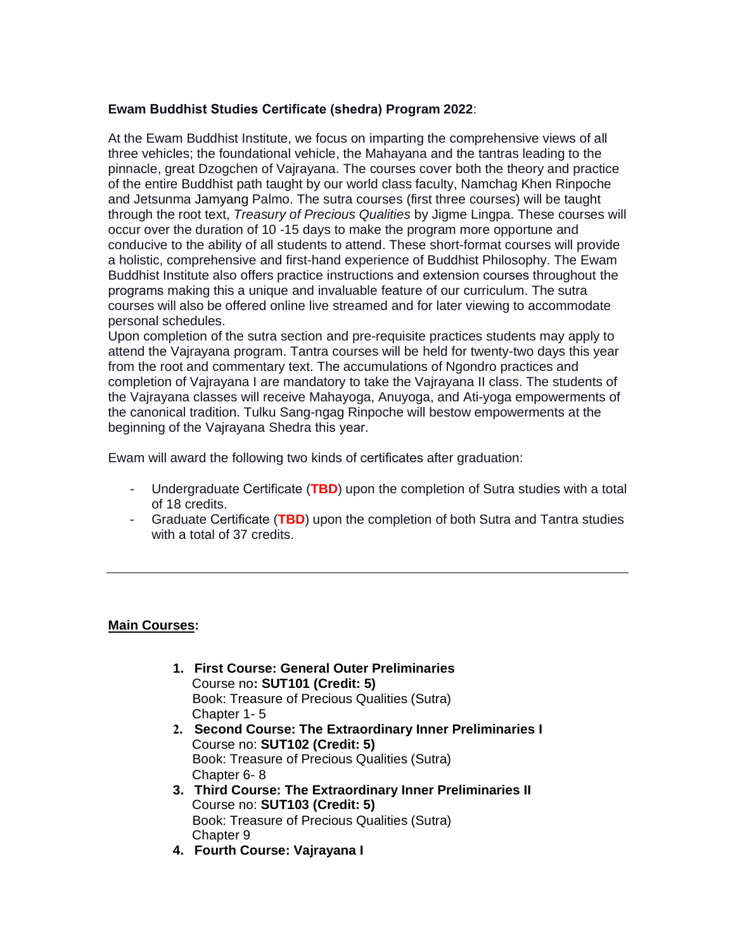### **Ewam Buddhist Studies Certificate (shedra) Program 2022**:

At the Ewam Buddhist Institute, we focus on imparting the comprehensive views of all three vehicles; the foundational vehicle, the Mahayana and the tantras leading to the pinnacle, great Dzogchen of Vajrayana. The courses cover both the theory and practice of the entire Buddhist path taught by our world class faculty, Namchag Khen Rinpoche and Jetsunma Jamyang Palmo. The sutra courses (first three courses) will be taught through the root text, *Treasury of Precious Qualities* by Jigme Lingpa. These courses will occur over the duration of 10 -15 days to make the program more opportune and conducive to the ability of all students to attend. These short-format courses will provide a holistic, comprehensive and first-hand experience of Buddhist Philosophy. The Ewam Buddhist Institute also offers practice instructions and extension courses throughout the programs making this a unique and invaluable feature of our curriculum. The sutra courses will also be offered online live streamed and for later viewing to accommodate personal schedules.

Upon completion of the sutra section and pre-requisite practices students may apply to attend the Vajrayana program. Tantra courses will be held for twenty-two days this year from the root and commentary text. The accumulations of Ngondro practices and completion of Vajrayana I are mandatory to take the Vajrayana II class. The students of the Vajrayana classes will receive Mahayoga, Anuyoga, and Ati-yoga empowerments of the canonical tradition. Tulku Sang-ngag Rinpoche will bestow empowerments at the beginning of the Vajrayana Shedra this year.

Ewam will award the following two kinds of certificates after graduation:

- Undergraduate Certificate (**TBD**) upon the completion of Sutra studies with a total of 18 credits.
- Graduate Certificate (**TBD**) upon the completion of both Sutra and Tantra studies with a total of 37 credits.

### **Main Courses:**

- **1. First Course: General Outer Preliminaries** Course no**: SUT101 (Credit: 5)** Book: Treasure of Precious Qualities (Sutra) Chapter 1- 5
- **2. Second Course: The Extraordinary Inner Preliminaries I** Course no: **SUT102 (Credit: 5)** Book: Treasure of Precious Qualities (Sutra) Chapter 6- 8
- **3. Third Course: The Extraordinary Inner Preliminaries II** Course no: **SUT103 (Credit: 5)** Book: Treasure of Precious Qualities (Sutra) Chapter 9
- **4. Fourth Course: Vajrayana I**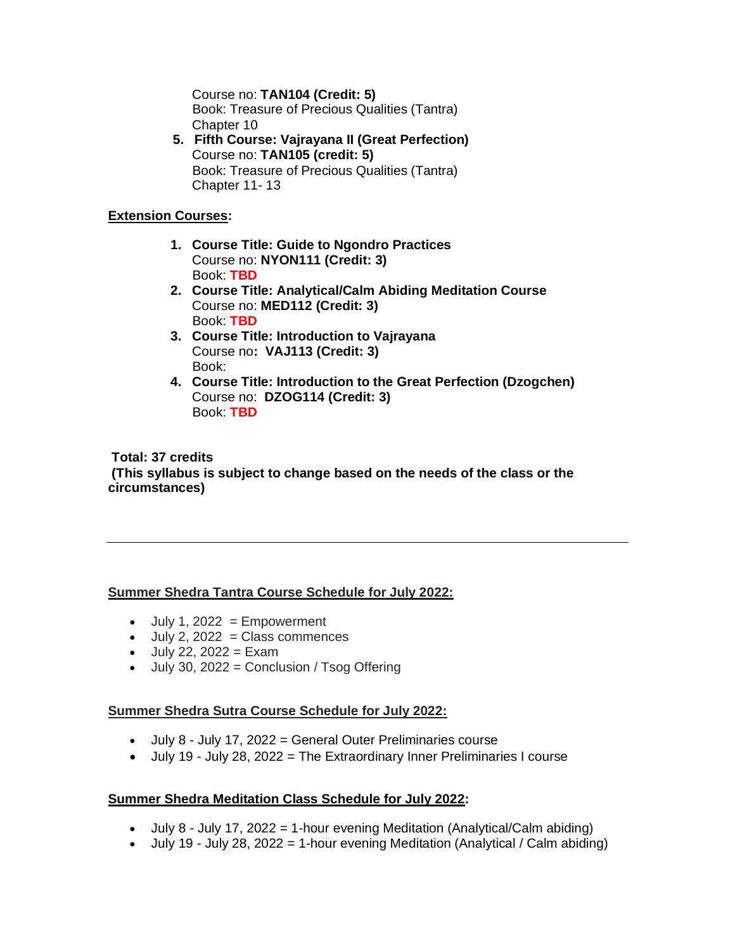Course no: **TAN104 (Credit: 5)** Book: Treasure of Precious Qualities (Tantra) Chapter 10

**5. Fifth Course: Vajrayana II (Great Perfection)** Course no: **TAN105 (credit: 5)** Book: Treasure of Precious Qualities (Tantra) Chapter 11- 13

### **Extension Courses:**

- **1. Course Title: Guide to Ngondro Practices** Course no: **NYON111 (Credit: 3)** Book: **TBD**
- **2. Course Title: Analytical/Calm Abiding Meditation Course** Course no: **MED112 (Credit: 3)** Book: **TBD**
- **3. Course Title: Introduction to Vajrayana** Course no**: VAJ113 (Credit: 3)** Book:
- **4. Course Title: Introduction to the Great Perfection (Dzogchen)** Course no: **DZOG114 (Credit: 3)** Book: **TBD**

**Total: 37 credits (This syllabus is subject to change based on the needs of the class or the circumstances)**

### **Summer Shedra Tantra Course Schedule for July 2022:**

- $\bullet$  July 1, 2022 = Empowerment
- $\bullet$  July 2, 2022 = Class commences
- $\bullet$  July 22, 2022 = Exam
- July 30, 2022 = Conclusion / Tsog Offering

#### **Summer Shedra Sutra Course Schedule for July 2022:**

- July 8 July 17, 2022 = General Outer Preliminaries course
- July 19 July 28, 2022 = The Extraordinary Inner Preliminaries I course

#### **Summer Shedra Meditation Class Schedule for July 2022:**

- July 8 July 17, 2022 = 1-hour evening Meditation (Analytical/Calm abiding)
- July 19 July 28, 2022 = 1-hour evening Meditation (Analytical / Calm abiding)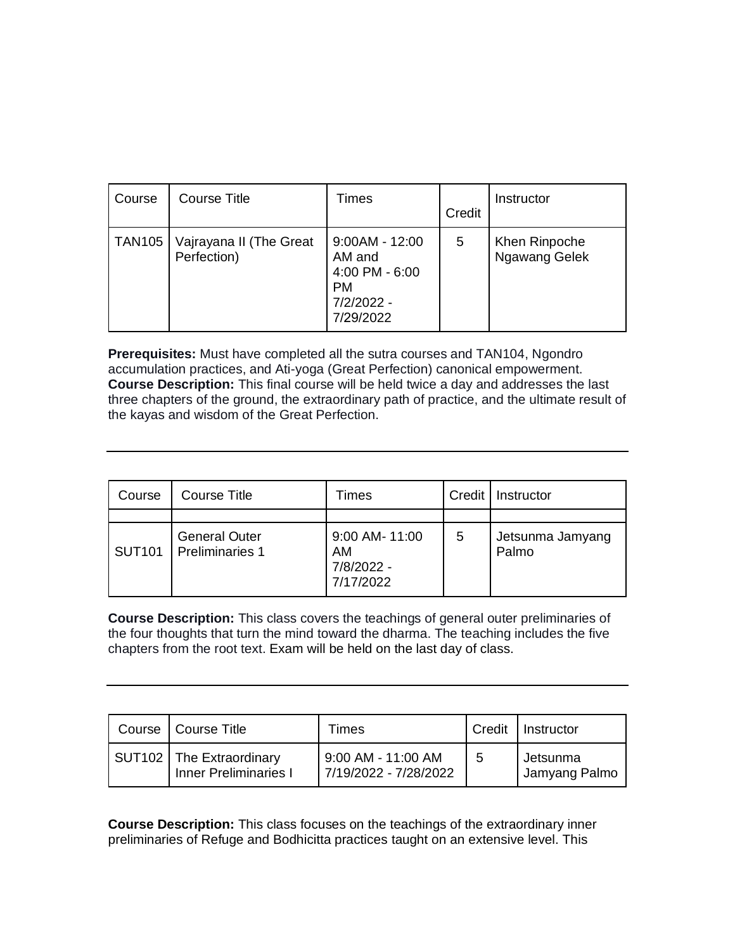| Course        | Course Title                           | Times                                                                                | Credit | Instructor                     |
|---------------|----------------------------------------|--------------------------------------------------------------------------------------|--------|--------------------------------|
| <b>TAN105</b> | Vajrayana II (The Great<br>Perfection) | $9:00AM - 12:00$<br>AM and<br>4:00 PM - 6:00<br><b>PM</b><br>7/2/2022 -<br>7/29/2022 | 5      | Khen Rinpoche<br>Ngawang Gelek |

**Prerequisites:** Must have completed all the sutra courses and TAN104, Ngondro accumulation practices, and Ati-yoga (Great Perfection) canonical empowerment. **Course Description:** This final course will be held twice a day and addresses the last three chapters of the ground, the extraordinary path of practice, and the ultimate result of the kayas and wisdom of the Great Perfection.

| Course        | Course Title                                   | Times                                           | Credit | Instructor                |  |
|---------------|------------------------------------------------|-------------------------------------------------|--------|---------------------------|--|
|               |                                                |                                                 |        |                           |  |
| <b>SUT101</b> | <b>General Outer</b><br><b>Preliminaries 1</b> | 9:00 AM- 11:00<br>AM<br>7/8/2022 -<br>7/17/2022 | 5      | Jetsunma Jamyang<br>Palmo |  |

**Course Description:** This class covers the teachings of general outer preliminaries of the four thoughts that turn the mind toward the dharma. The teaching includes the five chapters from the root text. Exam will be held on the last day of class.

| Course   Course Title                                      | Times                                       | Credit | Instructor                |
|------------------------------------------------------------|---------------------------------------------|--------|---------------------------|
| SUT102   The Extraordinary<br><b>Inner Preliminaries I</b> | 9:00 AM - 11:00 AM<br>7/19/2022 - 7/28/2022 | 5      | Jetsunma<br>Jamyang Palmo |

**Course Description:** This class focuses on the teachings of the extraordinary inner preliminaries of Refuge and Bodhicitta practices taught on an extensive level. This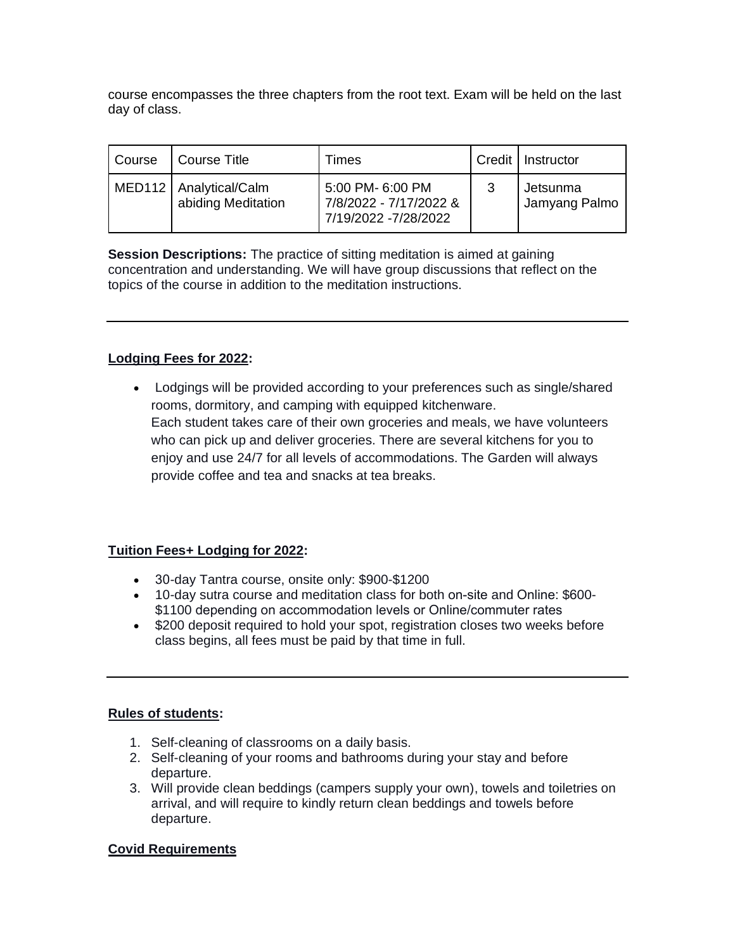course encompasses the three chapters from the root text. Exam will be held on the last day of class.

| Course | Course Title                                   | Times                                                              |   | Credit   Instructor       |
|--------|------------------------------------------------|--------------------------------------------------------------------|---|---------------------------|
|        | MED112   Analytical/Calm<br>abiding Meditation | 5:00 PM- 6:00 PM<br>7/8/2022 - 7/17/2022 &<br>7/19/2022 -7/28/2022 | 3 | Jetsunma<br>Jamyang Palmo |

**Session Descriptions:** The practice of sitting meditation is aimed at gaining concentration and understanding. We will have group discussions that reflect on the topics of the course in addition to the meditation instructions.

# **Lodging Fees for 2022:**

• Lodgings will be provided according to your preferences such as single/shared rooms, dormitory, and camping with equipped kitchenware. Each student takes care of their own groceries and meals, we have volunteers who can pick up and deliver groceries. There are several kitchens for you to enjoy and use 24/7 for all levels of accommodations. The Garden will always provide coffee and tea and snacks at tea breaks.

# **Tuition Fees+ Lodging for 2022:**

- 30-day Tantra course, onsite only: \$900-\$1200
- 10-day sutra course and meditation class for both on-site and Online: \$600- \$1100 depending on accommodation levels or Online/commuter rates
- \$200 deposit required to hold your spot, registration closes two weeks before class begins, all fees must be paid by that time in full.

# **Rules of students:**

- 1. Self-cleaning of classrooms on a daily basis.
- 2. Self-cleaning of your rooms and bathrooms during your stay and before departure.
- 3. Will provide clean beddings (campers supply your own), towels and toiletries on arrival, and will require to kindly return clean beddings and towels before departure.

# **Covid Requirements**